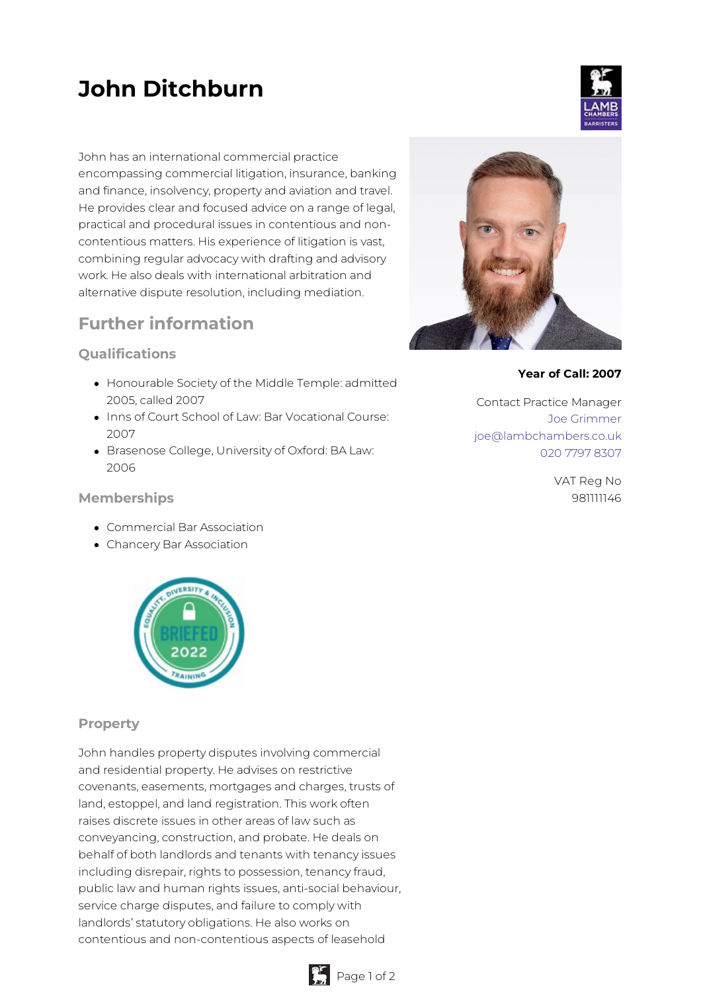# **John Ditchburn**

John has an international commercial practice encompassing commercial litigation, insurance, banking and finance, insolvency, property and aviation and travel. He provides clear and focused advice on a range of legal, practical and procedural issues in contentious and noncontentious matters. His experience of litigation is vast, combining regular advocacy with drafting and advisory work. He also deals with international arbitration and alternative dispute resolution, including mediation.

## **Further information**

### **Qualifications**

- Honourable Society of the Middle Temple: admitted 2005, called 2007
- Inns of Court School of Law: Bar Vocational Course: 2007
- Brasenose College, University of Oxford: BA Law: 2006

#### **Memberships**

- Commercial Bar Association
- Chancery Bar Association



#### **Property**

John handles property disputes involving commercial and residential property. He advises on restrictive covenants, easements, mortgages and charges, trusts of land, estoppel, and land registration. This work often raises discrete issues in other areas of law such as conveyancing, construction, and probate. He deals on behalf of both landlords and tenants with tenancy issues including disrepair, rights to possession, tenancy fraud, public law and human rights issues, anti-social behaviour, service charge disputes, and failure to comply with landlords' statutory obligations. He also works on contentious and non-contentious aspects of leasehold



#### **Year of Call: 2007**

Contact Practice Manager Joe [Grimmer](mailto:joe@lambchambers.co.uk) [joe@lambchambers.co.uk](mailto:joe@lambchambers.co.uk) 020 7797 [8307](tel:020%207797%208307)

> VAT Reg No 981111146